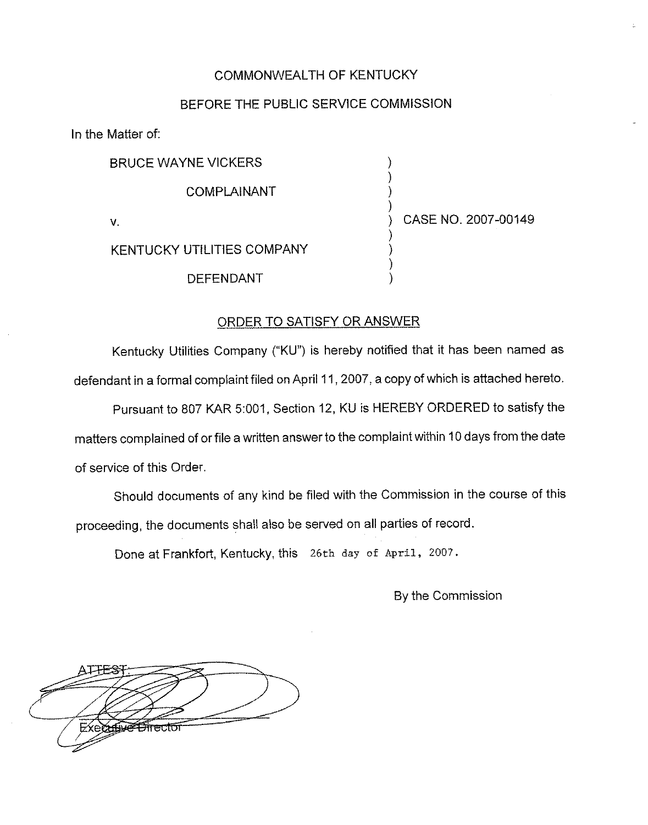## COMMONWEALTH OF KENTUCKY

### BEFORE THE PUBLIC SERVICE COMMISSION

) ) ) )

> ) ) ) )

In the Matter of:

BRUCE WAYNE VICKERS

COMPLAINANT

V.

) CASE NO. 2007-00149

KENTUCKY UTILITIES COMPANY

DEFENDANT

# ORDER TO SATISFY OR ANSWER

Kentucky Utilities Company ("KU") is hereby notified that it has been named as defendant in a formal complaint filed on April 11,2007, a copy of which is attached hereto.

Pursuant to 807 KAR 5:001, Section 12, KU is HEREBY ORDERED to satisfy the matters complained of or file a written answer to the complaint within 10 days from the date of service of this Order.

Should documents of any kind be filed with the Commission in the course of this proceeding, the documents shall also be served on all parties of record.

Done at Frankfort, Kentucky, this 26th day of April, 20o7.

By the Commission

<del>∕nfu⊄9mecto</del>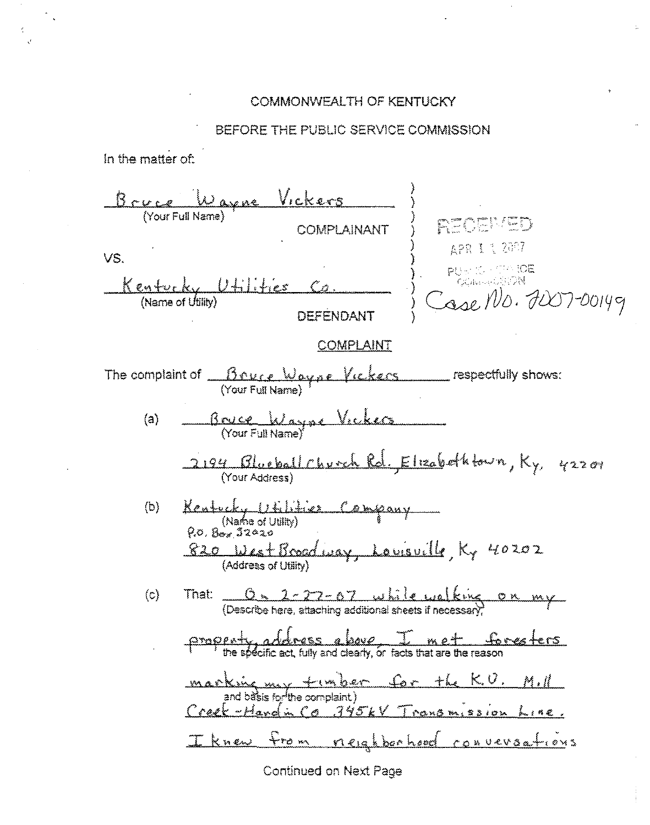### COMMONWEALTH OF KENTUCKY

### BEFORE THE PUBLIC SERVICE COMMISSION

In the matter of:



Continued on Next Page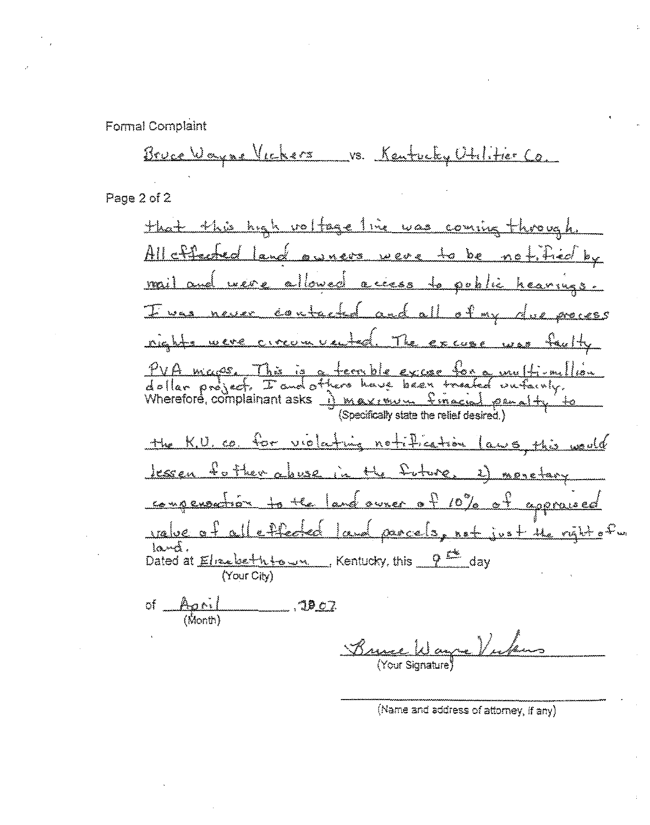Formal Complaint

Bruce Wayne Victors vs. Kentucky Utilitier Co.

Page 2 of 2

that this high rollinge line was coming through All offerfurt land <u>awners were to be notified by</u> were allowed access to poblic heavings mul amal <u>contacted and all of my</u> Journal mayor Μ øre i e s s The Center <u>nights were circum vauted</u> PVA mages This is a terrible excee for a multi-million Wherefore, complainant asks 1 maximum finacial penality (Specifically state the relief desired.) notification laws this <u>the KU.co. for vilating</u> <u>Jessen to they abuse</u> the Inture  $\frac{1}{2}$   $\frac{1}{2}$ <u>. 2)</u> menetary congeneration to the land owner of 10% of approved المكموليين <u>land parcels, not just the right</u> of m effected laná. Dated at Elmebeth to Man Kentucky, this 2<sup>1</sup> day (Your City) of April  $. 19.27$  $\frac{1}{2}$ 

 $\mathcal{J}_{\lambda}$ rr Your Signature<sup>1</sup>

(Name and address of attorney, if any).